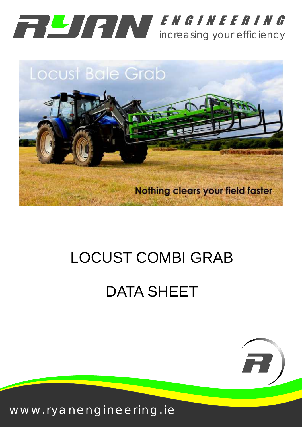



# LOCUST COMBI GRAB

# DATA SHEET



www.ryanengineering.ie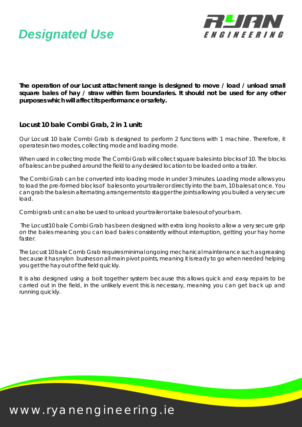



**The operation of our Locust attachment range is designed to move / load / unload small square bales of hay / straw within farm boundaries. It should not be used for any other purposes which will affect its performance or safety.**

**Locust 10 bale Combi Grab, 2 in 1 unit:**

Our Locust 10 bale Combi Grab is designed to perform 2 functions with 1 machine. Therefore, it operates in two modes, collecting mode and loading mode.

When used in collecting mode The Combi Grab will collect square bales into blocks of 10. The blocks of bales can be pushed around the field to any desired location to be loaded onto a trailer.

The Combi Grab can be converted into loading mode in under 3 minutes. Loading mode allows you to load the pre-formed blocks of bales onto your trailer or directly into the barn, 10 bales at once. You can grab the bales in alternating arrangements to stagger the joints allowing you builed a very secure load.

Combi grab unit can also be used to unload your trailer or take bales out of your barn.

The Locust10 bale Combi Grab has been designed with extra long hooks to allow a very secure grip on the bales meaning you can load bales consistently without interruption, getting your hay home faster.

The Locust 10 bale Comb Grab requires minimal ongoing mechanical maintenance such as greasing because it has nylon bushes on all main pivot points, meaning it is ready to go when needed helping you get the hay out of the field quickly.

It is also designed using a bolt together system because this allows quick and easy repairs to be carried out in the field, in the unlikely event this is necessary, meaning you can get back up and running quickly.

#### www.ryanengineering.ie